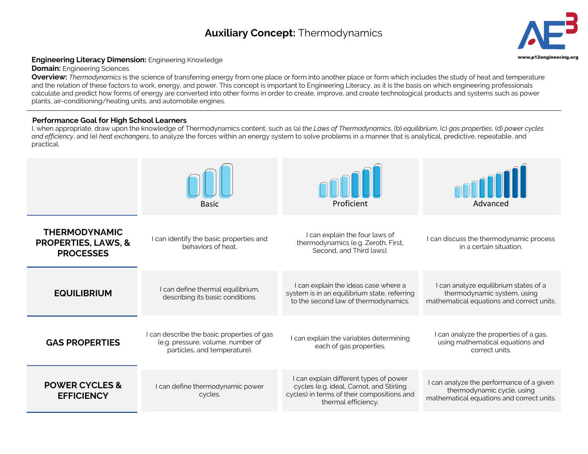## **Auxiliary Concept:** Thermodynamics **3**



## Engineering Literacy Dimension: Engineering Knowledge **Engineering.org and Construction:** Engineering Construction

**Domain:** Engineering Sciences

**Overview:** *Thermodynamics* is the science of transferring energy from one place or form into another place or form which includes the study of heat and temperature and the relation of these factors to work, energy, and power. This concept is important to Engineering Literacy, as it is the basis on which engineering professionals calculate and predict how forms of energy are converted into other forms in order to create, improve, and create technological products and systems such as power plants, air-conditioning/heating units, and automobile engines.

## **Performance Goal for High School Learners**

I, when appropriate, draw upon the knowledge of Thermodynamics content, such as (a) *the Laws of Thermodynamics*, (b) *equilibrium*, (c) *gas properties*, (d) *power cycles and efficiency*, and (e) *heat exchangers*, to analyze the forces within an energy system to solve problems in a manner that is analytical, predictive, repeatable, and practical.

|                                                                            | <b>Basic</b>                                                                                                    | Proficient                                                                                                                                              | Advanced                                                                                                            |
|----------------------------------------------------------------------------|-----------------------------------------------------------------------------------------------------------------|---------------------------------------------------------------------------------------------------------------------------------------------------------|---------------------------------------------------------------------------------------------------------------------|
| <b>THERMODYNAMIC</b><br><b>PROPERTIES, LAWS, &amp;</b><br><b>PROCESSES</b> | I can identify the basic properties and<br>behaviors of heat.                                                   | I can explain the four laws of<br>thermodynamics (e.g. Zeroth, First,<br>Second, and Third laws).                                                       | I can discuss the thermodynamic process<br>in a certain situation.                                                  |
| <b>EQUILIBRIUM</b>                                                         | I can define thermal equilibrium,<br>describing its basic conditions.                                           | I can explain the ideas case where a<br>system is in an equilibrium state, referring<br>to the second law of thermodynamics.                            | I can analyze equilibrium states of a<br>thermodynamic system, using<br>mathematical equations and correct units.   |
| <b>GAS PROPERTIES</b>                                                      | I can describe the basic properties of gas<br>(e.g. pressure, volume, number of<br>particles, and temperature). | I can explain the variables determining<br>each of gas properties.                                                                                      | I can analyze the properties of a gas,<br>using mathematical equations and<br>correct units.                        |
| <b>POWER CYCLES &amp;</b><br><b>EFFICIENCY</b>                             | I can define thermodynamic power<br>cycles.                                                                     | I can explain different types of power<br>cycles (e.g. ideal, Carnot, and Stirling<br>cycles) in terms of their compositions and<br>thermal efficiency. | I can analyze the performance of a given<br>thermodynamic cycle, using<br>mathematical equations and correct units. |